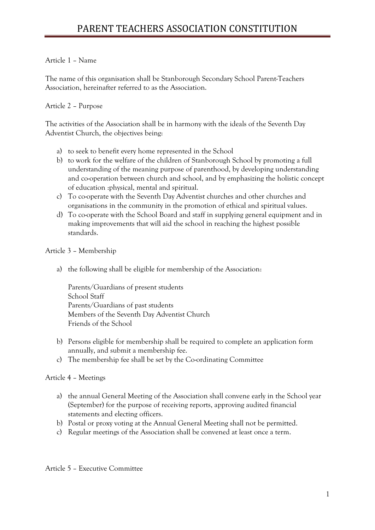## Article 1 – Name

The name of this organisation shall be Stanborough Secondary School Parent-Teachers Association, hereinafter referred to as the Association.

## Article 2 – Purpose

The activities of the Association shall be in harmony with the ideals of the Seventh Day Adventist Church, the objectives being:

- a) to seek to benefit every home represented in the School
- b) to work for the welfare of the children of Stanborough School by promoting a full understanding of the meaning purpose of parenthood, by developing understanding and co-operation between church and school, and by emphasizing the holistic concept of education :physical, mental and spiritual.
- c) To co-operate with the Seventh Day Adventist churches and other churches and organisations in the community in the promotion of ethical and spiritual values.
- d) To co-operate with the School Board and staff in supplying general equipment and in making improvements that will aid the school in reaching the highest possible standards.

## Article 3 – Membership

a) the following shall be eligible for membership of the Association:

Parents/Guardians of present students School Staff Parents/Guardians of past students Members of the Seventh Day Adventist Church Friends of the School

- b) Persons eligible for membership shall be required to complete an application form annually, and submit a membership fee.
- c) The membership fee shall be set by the Co-ordinating Committee

## Article 4 – Meetings

- a) the annual General Meeting of the Association shall convene early in the School year (September) for the purpose of receiving reports, approving audited financial statements and electing officers.
- b) Postal or proxy voting at the Annual General Meeting shall not be permitted.
- c) Regular meetings of the Association shall be convened at least once a term.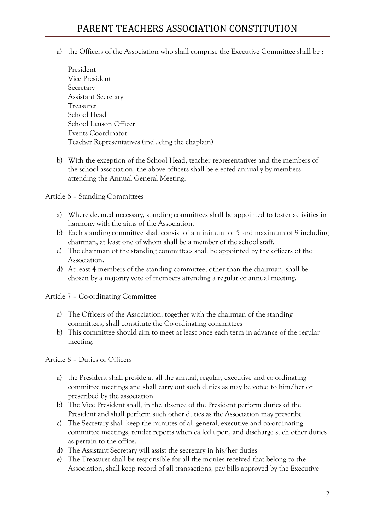- a) the Officers of the Association who shall comprise the Executive Committee shall be :
	- President Vice President Secretary Assistant Secretary Treasurer School Head School Liaison Officer Events Coordinator Teacher Representatives (including the chaplain)
- b) With the exception of the School Head, teacher representatives and the members of the school association, the above officers shall be elected annually by members attending the Annual General Meeting.

Article 6 – Standing Committees

- a) Where deemed necessary, standing committees shall be appointed to foster activities in harmony with the aims of the Association.
- b) Each standing committee shall consist of a minimum of 5 and maximum of 9 including chairman, at least one of whom shall be a member of the school staff.
- c) The chairman of the standing committees shall be appointed by the officers of the Association.
- d) At least 4 members of the standing committee, other than the chairman, shall be chosen by a majority vote of members attending a regular or annual meeting.

Article 7 – Co-ordinating Committee

- a) The Officers of the Association, together with the chairman of the standing committees, shall constitute the Co-ordinating committees
- b) This committee should aim to meet at least once each term in advance of the regular meeting.

Article 8 – Duties of Officers

- a) the President shall preside at all the annual, regular, executive and co-ordinating committee meetings and shall carry out such duties as may be voted to him/her or prescribed by the association
- b) The Vice President shall, in the absence of the President perform duties of the President and shall perform such other duties as the Association may prescribe.
- c) The Secretary shall keep the minutes of all general, executive and co-ordinating committee meetings, render reports when called upon, and discharge such other duties as pertain to the office.
- d) The Assistant Secretary will assist the secretary in his/her duties
- e) The Treasurer shall be responsible for all the monies received that belong to the Association, shall keep record of all transactions, pay bills approved by the Executive